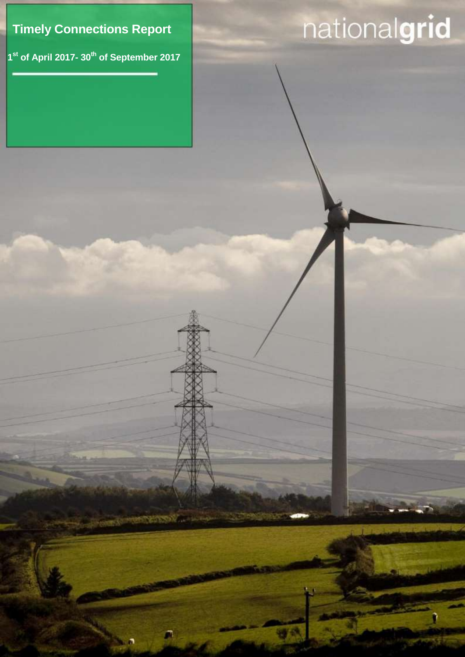

**1 st of April 2017- 30th of September 2017**

Timely connection Report

Ω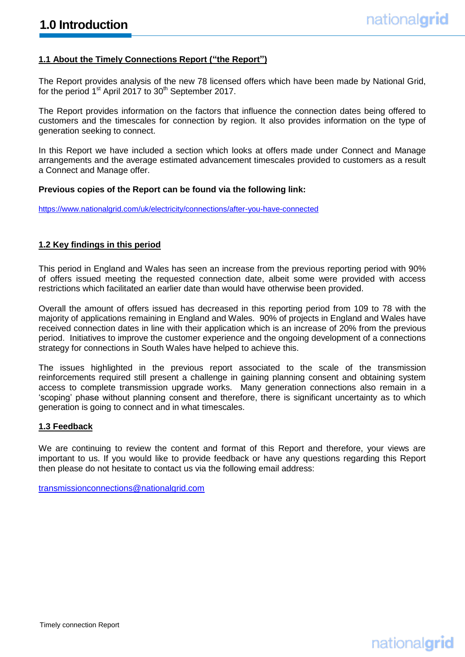## **1.1 About the Timely Connections Report ("the Report")**

The Report provides analysis of the new 78 licensed offers which have been made by National Grid, for the period 1<sup>st</sup> April 2017 to 30<sup>th</sup> September 2017.

The Report provides information on the factors that influence the connection dates being offered to customers and the timescales for connection by region. It also provides information on the type of generation seeking to connect.

In this Report we have included a section which looks at offers made under Connect and Manage arrangements and the average estimated advancement timescales provided to customers as a result a Connect and Manage offer.

#### **Previous copies of the Report can be found via the following link:**

<https://www.nationalgrid.com/uk/electricity/connections/after-you-have-connected>

#### **1.2 Key findings in this period**

This period in England and Wales has seen an increase from the previous reporting period with 90% of offers issued meeting the requested connection date, albeit some were provided with access restrictions which facilitated an earlier date than would have otherwise been provided.

Overall the amount of offers issued has decreased in this reporting period from 109 to 78 with the majority of applications remaining in England and Wales. 90% of projects in England and Wales have received connection dates in line with their application which is an increase of 20% from the previous period. Initiatives to improve the customer experience and the ongoing development of a connections strategy for connections in South Wales have helped to achieve this.

The issues highlighted in the previous report associated to the scale of the transmission reinforcements required still present a challenge in gaining planning consent and obtaining system access to complete transmission upgrade works. Many generation connections also remain in a 'scoping' phase without planning consent and therefore, there is significant uncertainty as to which generation is going to connect and in what timescales.

#### **1.3 Feedback**

We are continuing to review the content and format of this Report and therefore, your views are important to us. If you would like to provide feedback or have any questions regarding this Report then please do not hesitate to contact us via the following email address:

[transmissionconnections@nationalgrid.com](mailto:transmissionconnections@nationalgrid.com)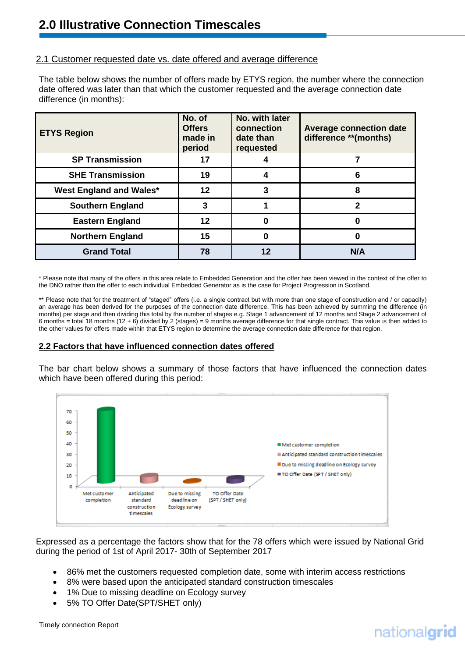# 2.1 Customer requested date vs. date offered and average difference

The table below shows the number of offers made by ETYS region, the number where the connection date offered was later than that which the customer requested and the average connection date difference (in months):

| <b>ETYS Region</b>      | No. of<br><b>Offers</b><br>made in<br>period | No. with later<br>connection<br>date than<br>requested | <b>Average connection date</b><br>difference **(months) |
|-------------------------|----------------------------------------------|--------------------------------------------------------|---------------------------------------------------------|
| <b>SP Transmission</b>  | 17                                           |                                                        |                                                         |
| <b>SHE Transmission</b> | 19                                           | 4                                                      | 6                                                       |
| West England and Wales* | 12                                           |                                                        | 8                                                       |
| <b>Southern England</b> | 3                                            |                                                        | 2                                                       |
| <b>Eastern England</b>  | 12                                           |                                                        |                                                         |
| <b>Northern England</b> | 15                                           |                                                        |                                                         |
| <b>Grand Total</b>      | 78                                           | $12 \,$                                                | N/A                                                     |

\* Please note that many of the offers in this area relate to Embedded Generation and the offer has been viewed in the context of the offer to the DNO rather than the offer to each individual Embedded Generator as is the case for Project Progression in Scotland.

\*\* Please note that for the treatment of "staged" offers (i.e. a single contract but with more than one stage of construction and / or capacity) an average has been derived for the purposes of the connection date difference. This has been achieved by summing the difference (in months) per stage and then dividing this total by the number of stages e.g. Stage 1 advancement of 12 months and Stage 2 advancement of 6 months = total 18 months (12 + 6) divided by 2 (stages) = 9 months average difference for that single contract. This value is then added to the other values for offers made within that ETYS region to determine the average connection date difference for that region.

#### **2.2 Factors that have influenced connection dates offered**

The bar chart below shows a summary of those factors that have influenced the connection dates which have been offered during this period:



Expressed as a percentage the factors show that for the 78 offers which were issued by National Grid during the period of 1st of April 2017- 30th of September 2017

- 86% met the customers requested completion date, some with interim access restrictions
- 8% were based upon the anticipated standard construction timescales
- 1% Due to missing deadline on Ecology survey
- 5% TO Offer Date(SPT/SHET only)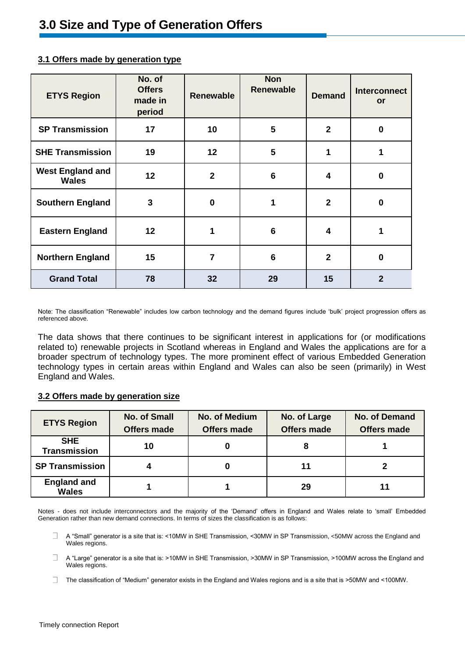| <b>ETYS Region</b>                      | No. of<br><b>Offers</b><br>made in<br>period | <b>Renewable</b> | <b>Non</b><br><b>Renewable</b> | <b>Demand</b>  | <b>Interconnect</b><br>or |
|-----------------------------------------|----------------------------------------------|------------------|--------------------------------|----------------|---------------------------|
| <b>SP Transmission</b>                  | 17                                           | 10               | 5                              | $\mathbf{2}$   | $\bf{0}$                  |
| <b>SHE Transmission</b>                 | 19                                           | 12               | 5                              | 1              | 1                         |
| <b>West England and</b><br><b>Wales</b> | 12                                           | $\overline{2}$   | $6\phantom{1}6$                | 4              | $\bf{0}$                  |
| <b>Southern England</b>                 | 3                                            | $\bf{0}$         |                                | $\overline{2}$ | $\bf{0}$                  |
| <b>Eastern England</b>                  | 12                                           | 1                | $6\phantom{1}6$                | 4              |                           |
| <b>Northern England</b>                 | 15                                           | $\overline{7}$   | $6\phantom{1}6$                | $\overline{2}$ | $\bf{0}$                  |
| <b>Grand Total</b>                      | 78                                           | 32               | 29                             | 15             | $\mathbf{2}$              |

## **3.1 Offers made by generation type**

Note: The classification "Renewable" includes low carbon technology and the demand figures include 'bulk' project progression offers as referenced above.

The data shows that there continues to be significant interest in applications for (or modifications related to) renewable projects in Scotland whereas in England and Wales the applications are for a broader spectrum of technology types. The more prominent effect of various Embedded Generation technology types in certain areas within England and Wales can also be seen (primarily) in West England and Wales.

## **3.2 Offers made by generation size**

| <b>ETYS Region</b>                 | <b>No. of Small</b><br><b>Offers made</b> | <b>No. of Medium</b><br><b>Offers made</b> | No. of Large<br><b>Offers made</b> | <b>No. of Demand</b><br><b>Offers made</b> |
|------------------------------------|-------------------------------------------|--------------------------------------------|------------------------------------|--------------------------------------------|
| <b>SHE</b><br><b>Transmission</b>  | 10                                        |                                            | 8                                  |                                            |
| <b>SP Transmission</b>             |                                           |                                            | 11                                 |                                            |
| <b>England and</b><br><b>Wales</b> |                                           |                                            | 29                                 |                                            |

Notes - does not include interconnectors and the majority of the 'Demand' offers in England and Wales relate to 'small' Embedded Generation rather than new demand connections. In terms of sizes the classification is as follows:

- $\Box$ A "Small" generator is a site that is: <10MW in SHE Transmission, <30MW in SP Transmission, <50MW across the England and Wales regions.
- A "Large" generator is a site that is: >10MW in SHE Transmission, >30MW in SP Transmission, >100MW across the England and П. Wales regions.
- $\Box$  The classification of "Medium" generator exists in the England and Wales regions and is a site that is >50MW and <100MW.